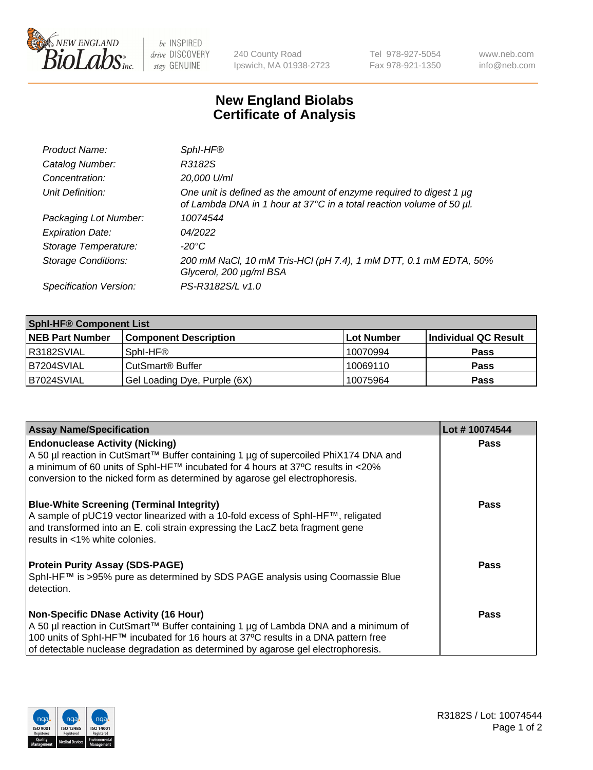

be INSPIRED drive DISCOVERY stay GENUINE

240 County Road Ipswich, MA 01938-2723 Tel 978-927-5054 Fax 978-921-1350 www.neb.com info@neb.com

## **New England Biolabs Certificate of Analysis**

| Product Name:              | Sphl-HF®                                                                                                                                    |
|----------------------------|---------------------------------------------------------------------------------------------------------------------------------------------|
| Catalog Number:            | R3182S                                                                                                                                      |
| Concentration:             | 20,000 U/ml                                                                                                                                 |
| Unit Definition:           | One unit is defined as the amount of enzyme required to digest 1 µg<br>of Lambda DNA in 1 hour at 37°C in a total reaction volume of 50 µl. |
| Packaging Lot Number:      | 10074544                                                                                                                                    |
| <b>Expiration Date:</b>    | 04/2022                                                                                                                                     |
| Storage Temperature:       | $-20^{\circ}$ C                                                                                                                             |
| <b>Storage Conditions:</b> | 200 mM NaCl, 10 mM Tris-HCl (pH 7.4), 1 mM DTT, 0.1 mM EDTA, 50%<br>Glycerol, 200 µg/ml BSA                                                 |
| Specification Version:     | PS-R3182S/L v1.0                                                                                                                            |

| <b>Sphl-HF® Component List</b> |                              |            |                      |  |
|--------------------------------|------------------------------|------------|----------------------|--|
| <b>NEB Part Number</b>         | <b>Component Description</b> | Lot Number | Individual QC Result |  |
| R3182SVIAL                     | Sphl-HF®                     | 10070994   | <b>Pass</b>          |  |
| B7204SVIAL                     | CutSmart <sup>®</sup> Buffer | 10069110   | <b>Pass</b>          |  |
| B7024SVIAL                     | Gel Loading Dye, Purple (6X) | 10075964   | <b>Pass</b>          |  |

| Lot #10074544 |
|---------------|
| <b>Pass</b>   |
|               |
| <b>Pass</b>   |
| Pass          |
| <b>Pass</b>   |
|               |
|               |
|               |